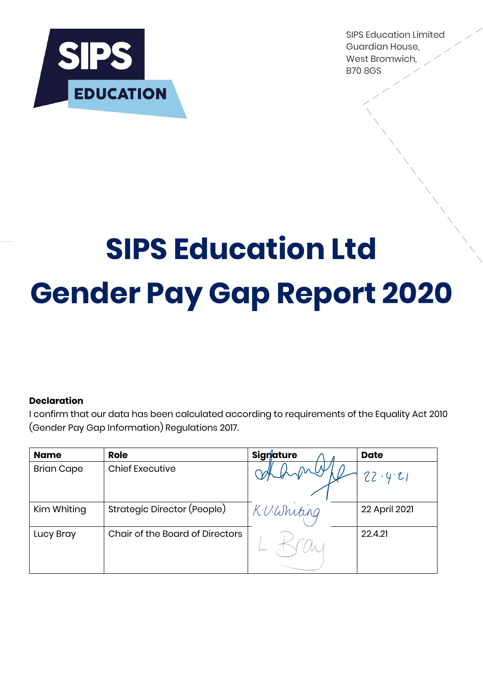

SIPS Education Limited Guardian House, West Bromwich, B70 8GS

# **SIPS Education Ltd Gender Pay Gap Report 2020**

## **Declaration**

I confirm that our data has been calculated according to requirements of the Equality Act 2010 (Gender Pay Gap Information) Regulations 2017.

| <b>Name</b>       | <b>Role</b>                            | <b>Signature</b> | <b>Date</b>   |
|-------------------|----------------------------------------|------------------|---------------|
| <b>Brian Cape</b> | <b>Chief Executive</b>                 |                  | $22 - 4.21$   |
| Kim Whiting       | Strategic Director (People)            | KUWhiting        | 22 April 2021 |
| Lucy Bray         | <b>Chair of the Board of Directors</b> |                  | 22.4.21       |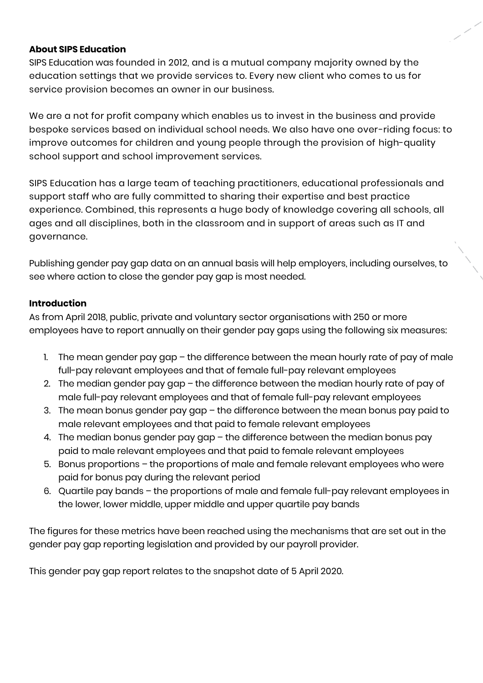### **About SIPS Education**

SIPS Education was founded in 2012, and is a mutual company majority owned by the education settings that we provide services to. Every new client who comes to us for service provision becomes an owner in our business.

We are a not for profit company which enables us to invest in the business and provide bespoke services based on individual school needs. We also have one over-riding focus: to improve outcomes for children and young people through the provision of high-quality school support and school improvement services.

SIPS Education has a large team of teaching practitioners, educational professionals and support staff who are fully committed to sharing their expertise and best practice experience. Combined, this represents a huge body of knowledge covering all schools, all ages and all disciplines, both in the classroom and in support of areas such as IT and governance.

Publishing gender pay gap data on an annual basis will help employers, including ourselves, to see where action to close the gender pay gap is most needed.

## **Introduction**

As from April 2018, public, private and voluntary sector organisations with 250 or more employees have to report annually on their gender pay gaps using the following six measures:

- 1. The mean gender pay gap  $-$  the difference between the mean hourly rate of pay of male full-pay relevant employees and that of female full-pay relevant employees
- 2. The median gender pay gap the difference between the median hourly rate of pay of male full-pay relevant employees and that of female full-pay relevant employees
- 3. The mean bonus gender pay gap the difference between the mean bonus pay paid to male relevant employees and that paid to female relevant employees
- 4. The median bonus gender pay gap the difference between the median bonus pay paid to male relevant employees and that paid to female relevant employees
- 5. Bonus proportions the proportions of male and female relevant employees who were paid for bonus pay during the relevant period
- 6. Quartile pay bands the proportions of male and female full-pay relevant employees in the lower, lower middle, upper middle and upper quartile pay bands

The figures for these metrics have been reached using the mechanisms that are set out in the gender pay gap reporting legislation and provided by our payroll provider.

This gender pay gap report relates to the snapshot date of 5 April 2020.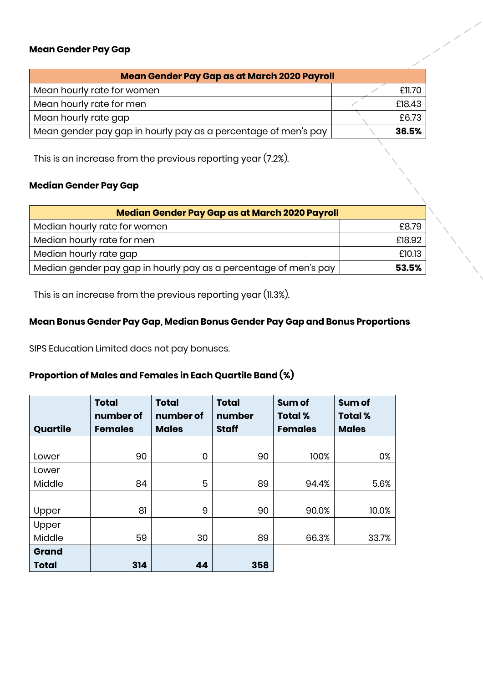#### **Mean Gender Pay Gap**

| Mean Gender Pay Gap as at March 2020 Payroll                   |  |        |  |  |
|----------------------------------------------------------------|--|--------|--|--|
| Mean hourly rate for women                                     |  | £11.70 |  |  |
| Mean hourly rate for men                                       |  | £18.43 |  |  |
| Mean hourly rate gap                                           |  | £6.73  |  |  |
| Mean gender pay gap in hourly pay as a percentage of men's pay |  | 36.5%  |  |  |

e de la Cardella<br>La Cardella Cardella (Cardella Cardella Cardella Cardella Cardella Cardella Cardella Cardella<br>Cardella Cardella Cardella Cardella Cardella (Cardella Cardella Cardella Cardella Cardella Cardella Cardella

This is an increase from the previous reporting year (7.2%).

## **Median Gender Pay Gap**

| Median Gender Pay Gap as at March 2020 Payroll                   |        |  |  |  |
|------------------------------------------------------------------|--------|--|--|--|
| Median hourly rate for women                                     | £8.79  |  |  |  |
| Median hourly rate for men                                       | £18.92 |  |  |  |
| Median hourly rate gap                                           | £10.13 |  |  |  |
| Median gender pay gap in hourly pay as a percentage of men's pay | 53.5%  |  |  |  |

This is an increase from the previous reporting year (11.3%).

# **Mean Bonus Gender Pay Gap, Median Bonus Gender Pay Gap and Bonus Proportions**

SIPS Education Limited does not pay bonuses.

# **Proportion of Males and Females in Each Quartile Band (%)**

|              | <b>Total</b><br>number of | <b>Total</b><br>number of | <b>Total</b><br>number | Sum of<br><b>Total %</b> | Sum of<br><b>Total %</b> |
|--------------|---------------------------|---------------------------|------------------------|--------------------------|--------------------------|
| Quartile     | <b>Females</b>            | <b>Males</b>              | <b>Staff</b>           | <b>Females</b>           | <b>Males</b>             |
|              |                           |                           |                        |                          |                          |
| Lower        | 90                        | 0                         | 90                     | 100%                     | 0%                       |
| Lower        |                           |                           |                        |                          |                          |
| Middle       | 84                        | 5                         | 89                     | 94.4%                    | 5.6%                     |
|              |                           |                           |                        |                          |                          |
| Upper        | 81                        | 9                         | 90                     | 90.0%                    | 10.0%                    |
| Upper        |                           |                           |                        |                          |                          |
| Middle       | 59                        | 30                        | 89                     | 66.3%                    | 33.7%                    |
| Grand        |                           |                           |                        |                          |                          |
| <b>Total</b> | 314                       | 44                        | 358                    |                          |                          |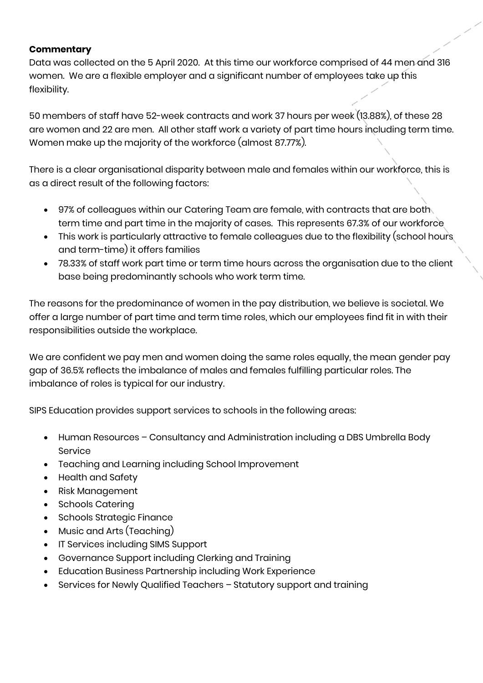## **Commentary**

Data was collected on the 5 April 2020. At this time our workforce comprised of 44 men and 316 women. We are a flexible employer and a significant number of employees take up this flexibility.

50 members of staff have 52-week contracts and work 37 hours per week (13.88%), of these 28 are women and 22 are men. All other staff work a variety of part time hours including term time. Women make up the majority of the workforce (almost 87.77%).

There is a clear organisational disparity between male and females within our workforce, this is as a direct result of the following factors:

- 97% of colleagues within our Catering Team are female, with contracts that are both term time and part time in the majority of cases. This represents 67.3% of our workforce
- This work is particularly attractive to female colleagues due to the flexibility (school hours and term-time) it offers families
- 78.33% of staff work part time or term time hours across the organisation due to the client base being predominantly schools who work term time.

The reasons for the predominance of women in the pay distribution, we believe is societal. We offer a large number of part time and term time roles, which our employees find fit in with their responsibilities outside the workplace.

We are confident we pay men and women doing the same roles equally, the mean gender pay gap of 36.5% reflects the imbalance of males and females fulfilling particular roles. The imbalance of roles is typical for our industry.

SIPS Education provides support services to schools in the following areas:

- Human Resources Consultancy and Administration including a DBS Umbrella Body Service
- Teaching and Learning including School Improvement
- Health and Safety
- Risk Management
- Schools Catering
- Schools Strategic Finance
- Music and Arts (Teaching)
- IT Services including SIMS Support
- Governance Support including Clerking and Training
- Education Business Partnership including Work Experience
- Services for Newly Qualified Teachers Statutory support and training